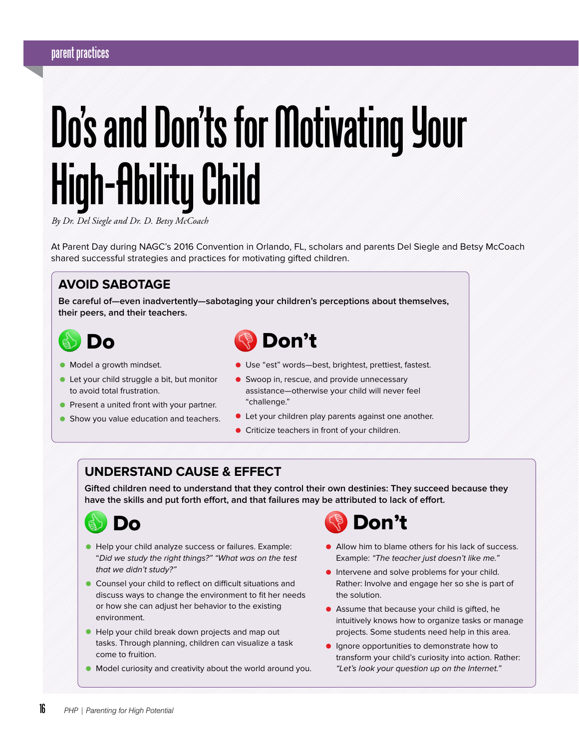## **parent practices**

# **Do's and Don'ts for Motivating Your High-Ability Child**

*By Dr. Del Siegle and Dr. D. Betsy McCoach*

At Parent Day during NAGC's 2016 Convention in Orlando, FL, scholars and parents Del Siegle and Betsy McCoach shared successful strategies and practices for motivating gifted children.

#### **AVOID SABOTAGE**

**Be careful of—even inadvertently—sabotaging your children's perceptions about themselves, their peers, and their teachers.**



- Model a growth mindset.
- Let your child struggle a bit, but monitor to avoid total frustration.
- **•** Present a united front with your partner.
- **Show you value education and teachers.**



- Use "est" words—best, brightest, prettiest, fastest.
- Swoop in, rescue, and provide unnecessary assistance—otherwise your child will never feel "challenge."
- Let your children play parents against one another.
- Criticize teachers in front of your children.

#### **UNDERSTAND CAUSE & EFFECT**

**Gifted children need to understand that they control their own destinies: They succeed because they have the skills and put forth effort, and that failures may be attributed to lack of effort.** 



- Help your child analyze success or failures. Example: "Did we study the right things?" "What was on the test that we didn't study?"
- Counsel your child to reflect on difficult situations and discuss ways to change the environment to fit her needs or how she can adjust her behavior to the existing environment.
- Help your child break down projects and map out tasks. Through planning, children can visualize a task come to fruition.
- Model curiosity and creativity about the world around you.



- Allow him to blame others for his lack of success. Example: "The teacher just doesn't like me."
- **•** Intervene and solve problems for your child. Rather: Involve and engage her so she is part of the solution.
- Assume that because your child is gifted, he intuitively knows how to organize tasks or manage projects. Some students need help in this area.
- **•** Ignore opportunities to demonstrate how to transform your child's curiosity into action. Rather: "Let's look your question up on the Internet."